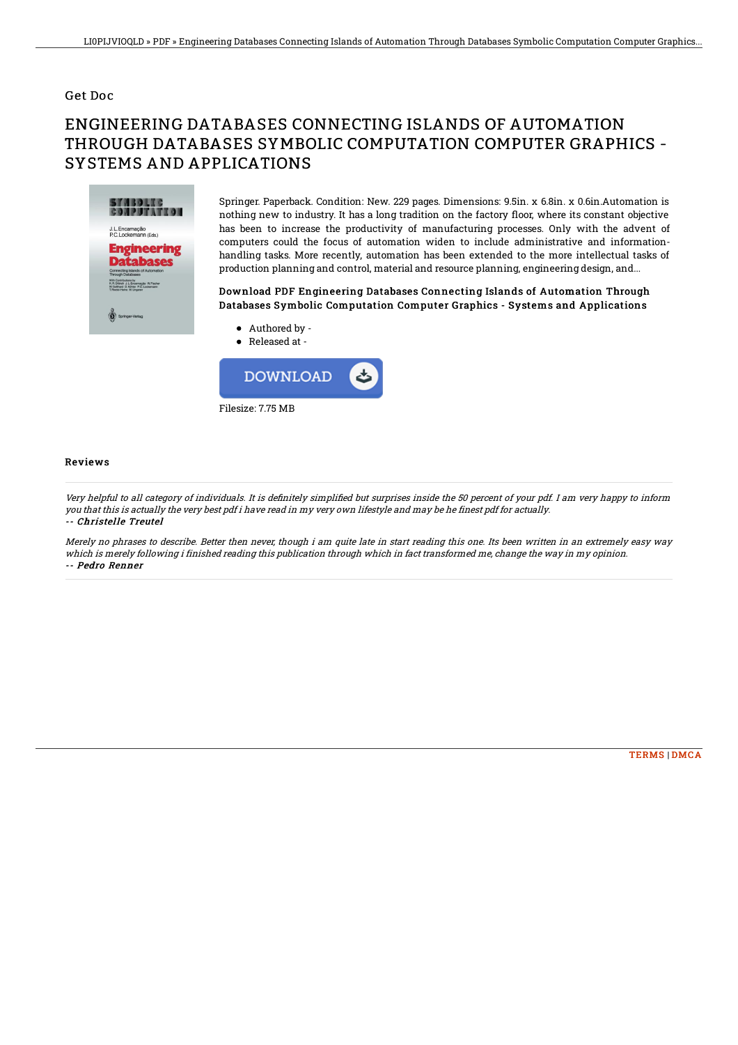#### Get Doc

# ENGINEERING DATABASES CONNECTING ISLANDS OF AUTOMATION THROUGH DATABASES SYMBOLIC COMPUTATION COMPUTER GRAPHICS - SYSTEMS AND APPLICATIONS



Springer. Paperback. Condition: New. 229 pages. Dimensions: 9.5in. x 6.8in. x 0.6in.Automation is nothing new to industry. It has a long tradition on the factory 1oor, where its constant objective has been to increase the productivity of manufacturing processes. Only with the advent of computers could the focus of automation widen to include administrative and informationhandling tasks. More recently, automation has been extended to the more intellectual tasks of production planning and control, material and resource planning, engineering design, and...

### Download PDF Engineering Databases Connecting Islands of Automation Through Databases Symbolic Computation Computer Graphics - Systems and Applications

Released at -

Authored by -



#### Reviews

Very helpful to all category of individuals. It is definitely simplified but surprises inside the 50 percent of your pdf. I am very happy to inform you that this is actually the very best pdf i have read in my very own lifestyle and may be he finest pdf for actually. -- Christelle Treutel

Merely no phrases to describe. Better then never, though i am quite late in start reading this one. Its been written in an extremely easy way which is merely following i finished reading this publication through which in fact transformed me, change the way in my opinion. -- Pedro Renner